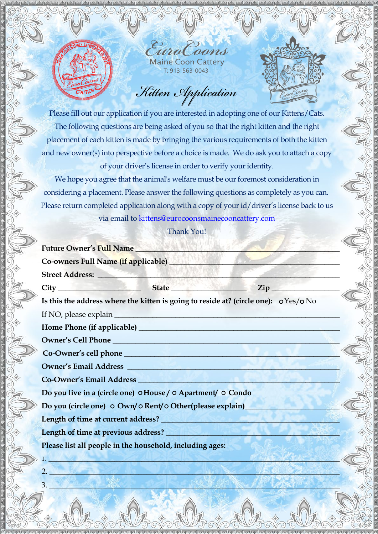*EuroCoons* Maine Coon CatteryT: 913-563-0043

*Kitten Application*

Please fill out our application if you are interested in adopting one of our Kittens/Cats. The following questions are being asked of you so that the right kitten and the right placement of each kitten is made by bringing the various requirements of both the kitten and new owner(s) into perspective before a choice is made. We do ask you to attach a copy of your driver's license in order to verify your identity.

We hope you agree that the animal's welfare must be our foremost consideration in considering a placement. Please answer the following questions as completely as you can. Please return completed application along with a copy of your id/driver's license back to us via email t[o kittens@eurocoonsmainecooncattery.com](mailto:kittens%40eurocoonsmainecooncattery.com?subject=Kitten%20application)

Thank You!

| <b>Future Owner's Full Name</b>                                                                                                                                                                                                |                                                                                         |
|--------------------------------------------------------------------------------------------------------------------------------------------------------------------------------------------------------------------------------|-----------------------------------------------------------------------------------------|
| Co-owners Full Name (if applicable) <b>Exercise 2018</b>                                                                                                                                                                       |                                                                                         |
| Street Address: No. 1996. The Contract of the Contract of the Contract of the Contract of the Contract of the Contract of the Contract of the Contract of the Contract of the Contract of the Contract of the Contract of the  |                                                                                         |
|                                                                                                                                                                                                                                | $Zip_$                                                                                  |
|                                                                                                                                                                                                                                | Is this the address where the kitten is going to reside at? (circle one): $OY \sim N_O$ |
|                                                                                                                                                                                                                                |                                                                                         |
|                                                                                                                                                                                                                                |                                                                                         |
|                                                                                                                                                                                                                                |                                                                                         |
|                                                                                                                                                                                                                                |                                                                                         |
|                                                                                                                                                                                                                                |                                                                                         |
| Co-Owner's Email Address Latin Contract Contract Contract Contract Contract Contract Contract Contract Contract Contract Contract Contract Contract Contract Contract Contract Contract Contract Contract Contract Contract Co |                                                                                         |
| Do you live in a (circle one) OHouse / O Apartment/ O Condo                                                                                                                                                                    |                                                                                         |
| Do you (circle one) o Own/o Rent/o Other(please explain)                                                                                                                                                                       |                                                                                         |
| Length of time at current address?<br><u>Length of time at current address?</u>                                                                                                                                                |                                                                                         |
|                                                                                                                                                                                                                                |                                                                                         |
| Please list all people in the household, including ages:                                                                                                                                                                       |                                                                                         |
| We have a second that the state of the state of the state of the state of the state of the state of the state of                                                                                                               |                                                                                         |
|                                                                                                                                                                                                                                |                                                                                         |

2. \_\_\_\_\_\_\_\_\_\_\_\_\_\_\_\_\_\_\_\_\_\_\_\_\_\_\_\_\_\_\_\_\_\_\_\_\_\_\_\_\_\_\_\_\_\_\_\_\_\_\_\_\_\_\_\_\_\_\_\_\_\_\_\_\_\_\_\_\_\_\_\_\_\_\_

 $3.$   $\frac{1}{2}$   $\frac{1}{2}$   $\frac{1}{2}$   $\frac{1}{2}$   $\frac{1}{2}$   $\frac{1}{2}$   $\frac{1}{2}$   $\frac{1}{2}$   $\frac{1}{2}$   $\frac{1}{2}$   $\frac{1}{2}$   $\frac{1}{2}$   $\frac{1}{2}$   $\frac{1}{2}$   $\frac{1}{2}$   $\frac{1}{2}$   $\frac{1}{2}$   $\frac{1}{2}$   $\frac{1}{2}$   $\frac{1}{2}$   $\frac{1}{2}$   $\frac{1}{$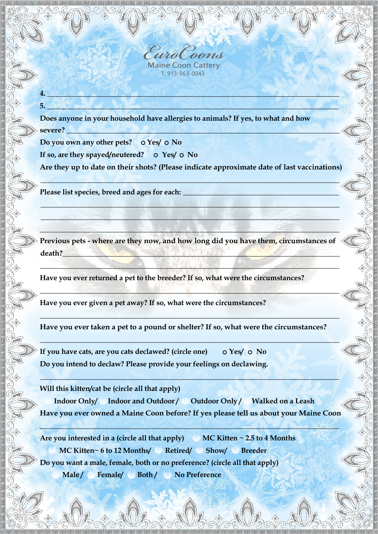**4. AB. 4. AR. 4. AR. 4. AR. 4. AR. 4. AR. 4. AR. 4. AR. 4. AR. 4. AR. 4. AR. 4. AR. 4. AR. 4. AR. 4. AR. 5. \_\_\_\_\_\_\_\_\_\_\_\_\_\_\_\_\_\_\_\_\_\_\_\_\_\_\_\_\_\_\_\_\_\_\_\_\_\_\_\_\_\_\_\_\_\_\_\_\_\_\_\_\_\_\_\_\_\_\_\_\_\_\_\_\_\_\_\_\_\_\_\_\_\_\_\_\_\_** 

**Does anyone in your household have allergies to animals? If yes, to what and how severe? \_\_\_\_\_\_\_\_\_\_\_\_\_\_\_\_\_\_\_\_\_\_\_\_\_\_\_\_\_\_\_\_\_\_\_\_\_\_\_\_\_\_\_\_\_\_\_\_\_\_\_\_\_\_\_\_\_\_\_\_\_\_\_\_\_\_\_\_\_\_\_\_\_**

Do you own any other pets? O Yes/ O No

If so, are they spayed/neutered? o Yes/ o No

 **Are they up to date on their shots? (Please indicate approximate date of last vaccinations)**

**\_\_\_\_\_\_\_\_\_\_\_\_\_\_\_\_\_\_\_\_\_\_\_\_\_\_\_\_\_\_\_\_\_\_\_\_\_\_\_\_\_\_\_\_\_\_\_\_\_\_\_\_\_\_\_\_\_\_\_\_\_\_\_\_\_\_\_\_\_\_\_\_\_\_\_\_\_\_\_\_**

**\_\_\_\_\_\_\_\_\_\_\_\_\_\_\_\_\_\_\_\_\_\_\_\_\_\_\_\_\_\_\_\_\_\_\_\_\_\_\_\_\_**

**\_\_\_\_\_\_\_\_\_\_\_\_\_\_\_\_\_\_\_\_\_\_\_\_\_\_\_\_\_\_\_\_\_\_\_\_\_\_\_\_\_\_\_\_\_\_\_\_\_\_\_\_\_\_\_\_\_\_\_\_\_\_\_\_\_\_\_\_\_\_\_\_\_\_\_\_\_\_\_\_ \_\_\_\_\_\_\_\_\_\_\_\_\_\_\_\_\_\_\_\_\_\_\_\_\_\_\_\_\_\_\_\_\_\_\_\_\_\_\_\_\_\_\_\_\_\_\_\_\_\_\_\_\_\_\_\_\_\_\_\_\_\_\_\_\_\_\_\_\_\_\_\_\_\_\_\_\_\_\_\_ \_\_\_\_\_\_\_\_\_\_\_\_\_\_\_\_\_\_\_\_\_\_\_\_\_\_\_\_\_\_\_\_\_\_\_\_\_\_\_\_\_\_\_\_\_\_\_\_\_\_\_\_\_\_\_\_\_\_\_\_\_\_\_\_\_\_\_\_\_\_\_\_\_\_\_\_\_\_\_\_**

**Please list species, breed and ages for each:**

**Previous pets - where are they now, and how long did you have them, circumstances of death?\_\_\_\_\_\_\_\_\_\_\_\_\_\_\_\_\_\_\_\_\_\_\_\_\_\_\_\_\_\_\_\_\_\_\_\_\_\_\_\_\_\_\_\_\_\_\_\_\_\_\_\_\_\_\_\_\_\_\_\_\_\_\_\_\_\_\_\_\_\_\_\_\_\_**

**\_\_\_\_\_\_\_\_\_\_\_\_\_\_\_\_\_\_\_\_\_\_\_\_\_\_\_\_\_\_\_\_\_\_\_\_\_\_\_\_\_\_\_\_\_\_\_\_\_\_\_\_\_\_\_\_\_\_\_\_\_\_\_\_\_\_\_\_\_\_\_\_\_\_\_\_\_\_\_\_**

**\_\_\_\_\_\_\_\_\_\_\_\_\_\_\_\_\_\_\_\_\_\_\_\_\_\_\_\_\_\_\_\_\_\_\_\_\_\_\_\_\_\_\_\_\_\_\_\_\_\_\_\_\_\_\_\_\_\_\_\_\_\_\_\_\_\_\_\_\_\_\_\_\_\_\_\_\_\_\_\_**

**\_\_\_\_\_\_\_\_\_\_\_\_\_\_\_\_\_\_\_\_\_\_\_\_\_\_\_\_\_\_\_\_\_\_\_\_\_\_\_\_\_\_\_\_\_\_\_\_\_\_\_\_\_\_\_\_\_\_\_\_\_\_\_\_\_\_\_\_\_\_\_\_\_\_\_\_\_\_\_\_**

**\_\_\_\_\_\_\_\_\_\_\_\_\_\_\_\_\_\_\_\_\_\_\_\_\_\_\_\_\_\_\_\_\_\_\_\_\_\_\_\_\_\_\_\_\_\_\_\_\_\_\_\_\_\_\_\_\_\_\_\_\_\_\_\_\_\_\_\_\_\_\_\_\_\_\_\_\_\_\_\_**

**Have you ever returned a pet to the breeder? If so, what were the circumstances?**

**Have you ever given a pet away? If so, what were the circumstances?**

**Have you ever taken a pet to a pound or shelter? If so, what were the circumstances?**

**If you have cats, are you cats declawed? (circle one)**  $\circ$  Yes/  $\circ$  No **Do you intend to declaw? Please provide your feelings on declawing.**

**Will this kitten/cat be (circle all that apply)** 

**Indoor Only/ Indoor and Outdoor / Outdoor Only / Walked on a Leash Have you ever owned a Maine Coon before? If yes please tell us about your Maine Coon** 

**\_\_\_\_\_\_\_\_\_\_\_\_\_\_\_\_\_\_\_\_\_\_\_\_\_\_\_\_\_\_\_\_\_\_\_\_\_\_\_\_\_\_\_\_\_\_\_\_\_\_\_\_\_\_\_\_\_\_\_\_\_\_\_\_\_\_\_\_\_\_\_\_\_\_\_\_\_\_\_\_**

**\_\_\_\_\_\_\_\_\_\_\_\_\_\_\_\_\_\_\_\_\_\_\_\_\_\_\_\_\_\_\_\_\_\_\_\_\_\_\_\_\_\_\_\_\_\_\_\_\_\_\_\_\_\_\_\_\_\_\_\_\_\_\_\_\_\_\_\_\_\_\_\_\_\_\_\_\_\_\_\_**

**Are you interested in a (circle all that apply) MC Kitten ~ 2.5 to 4 Months MC Kitten~ 6 to 12 Months/ Retired/ Show/ Breeder Male / Female/ Both / No PreferenceDo you want a male, female, both or no preference? (circle all that apply)**